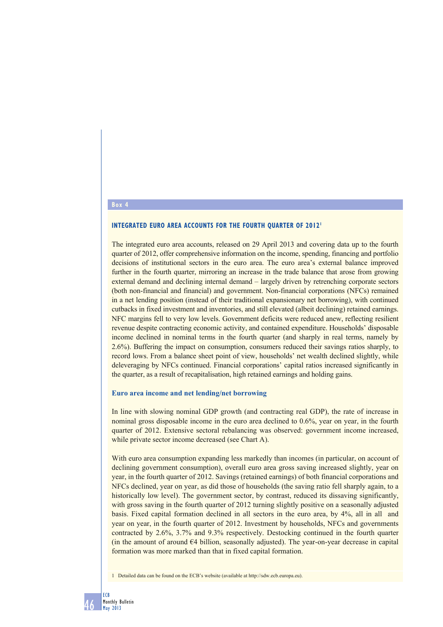## **Box 4**

#### **INTEGRATED EURO AREA ACCOUNTS FOR THE FOURTH OUARTER OF 2012<sup>1</sup>**

The integrated euro area accounts, released on 29 April 2013 and covering data up to the fourth quarter of 2012, offer comprehensive information on the income, spending, financing and portfolio decisions of institutional sectors in the euro area. The euro area's external balance improved further in the fourth quarter, mirroring an increase in the trade balance that arose from growing external demand and declining internal demand – largely driven by retrenching corporate sectors (both non-financial and financial) and government. Non-financial corporations (NFCs) remained in a net lending position (instead of their traditional expansionary net borrowing), with continued cutbacks in fixed investment and inventories, and still elevated (albeit declining) retained earnings. NFC margins fell to very low levels. Government deficits were reduced anew, reflecting resilient revenue despite contracting economic activity, and contained expenditure. Households' disposable income declined in nominal terms in the fourth quarter (and sharply in real terms, namely by 2.6%). Buffering the impact on consumption, consumers reduced their savings ratios sharply, to record lows. From a balance sheet point of view, households' net wealth declined slightly, while deleveraging by NFCs continued. Financial corporations' capital ratios increased significantly in the quarter, as a result of recapitalisation, high retained earnings and holding gains.

### **Euro area income and net lending/net borrowing**

In line with slowing nominal GDP growth (and contracting real GDP), the rate of increase in nominal gross disposable income in the euro area declined to 0.6%, year on year, in the fourth quarter of 2012. Extensive sectoral rebalancing was observed: government income increased, while private sector income decreased (see Chart A).

With euro area consumption expanding less markedly than incomes (in particular, on account of declining government consumption), overall euro area gross saving increased slightly, year on year, in the fourth quarter of 2012. Savings (retained earnings) of both financial corporations and NFCs declined, year on year, as did those of households (the saving ratio fell sharply again, to a historically low level). The government sector, by contrast, reduced its dissaving significantly, with gross saving in the fourth quarter of 2012 turning slightly positive on a seasonally adjusted basis. Fixed capital formation declined in all sectors in the euro area, by 4%, all in all and year on year, in the fourth quarter of 2012. Investment by households, NFCs and governments contracted by 2.6%, 3.7% and 9.3% respectively. Destocking continued in the fourth quarter (in the amount of around  $64$  billion, seasonally adjusted). The year-on-year decrease in capital formation was more marked than that in fixed capital formation.

1 Detailed data can be found on the ECB's website (available at http://sdw.ecb.europa.eu).

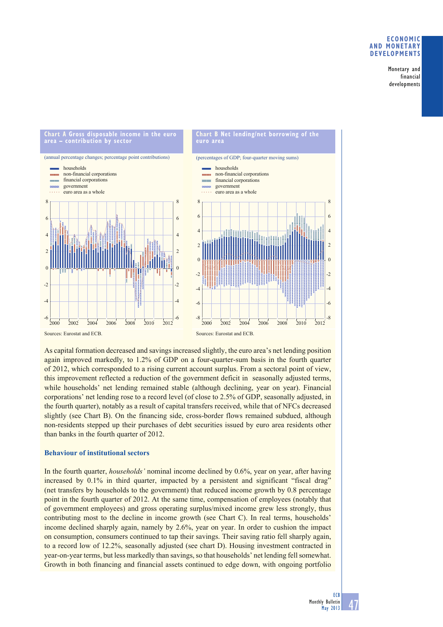## **ECONOMIC AND MONETARY DEVELOPMENTS**

Monetary and financial developments



As capital formation decreased and savings increased slightly, the euro area's net lending position again improved markedly, to 1.2% of GDP on a four-quarter-sum basis in the fourth quarter of 2012, which corresponded to a rising current account surplus. From a sectoral point of view, this improvement reflected a reduction of the government deficit in seasonally adjusted terms, while households' net lending remained stable (although declining, year on year). Financial corporations' net lending rose to a record level (of close to 2.5% of GDP, seasonally adjusted, in the fourth quarter), notably as a result of capital transfers received, while that of NFCs decreased slightly (see Chart B). On the financing side, cross-border flows remained subdued, although non-residents stepped up their purchases of debt securities issued by euro area residents other than banks in the fourth quarter of 2012.

# **Behaviour of institutional sectors**

In the fourth quarter, *households'* nominal income declined by 0.6%, year on year, after having increased by 0.1% in third quarter, impacted by a persistent and significant "fiscal drag" (net transfers by households to the government) that reduced income growth by 0.8 percentage point in the fourth quarter of 2012. At the same time, compensation of employees (notably that of government employees) and gross operating surplus/mixed income grew less strongly, thus contributing most to the decline in income growth (see Chart C). In real terms, households' income declined sharply again, namely by 2.6%, year on year. In order to cushion the impact on consumption, consumers continued to tap their savings. Their saving ratio fell sharply again, to a record low of 12.2%, seasonally adjusted (see chart D). Housing investment contracted in year-on-year terms, but less markedly than savings, so that households' net lending fell somewhat. Growth in both financing and financial assets continued to edge down, with ongoing portfolio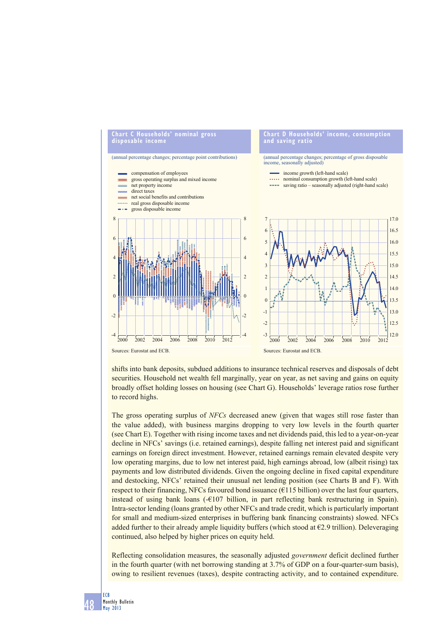

shifts into bank deposits, subdued additions to insurance technical reserves and disposals of debt securities. Household net wealth fell marginally, year on year, as net saving and gains on equity broadly offset holding losses on housing (see Chart G). Households' leverage ratios rose further to record highs.

The gross operating surplus of *NFCs* decreased anew (given that wages still rose faster than the value added), with business margins dropping to very low levels in the fourth quarter (see Chart E). Together with rising income taxes and net dividends paid, this led to a year-on-year decline in NFCs' savings (i.e. retained earnings), despite falling net interest paid and significant earnings on foreign direct investment. However, retained earnings remain elevated despite very low operating margins, due to low net interest paid, high earnings abroad, low (albeit rising) tax payments and low distributed dividends. Given the ongoing decline in fixed capital expenditure and destocking, NFCs' retained their unusual net lending position (see Charts B and F). With respect to their financing, NFCs favoured bond issuance ( $\epsilon$ 115 billion) over the last four quarters, instead of using bank loans (-€107 billion, in part reflecting bank restructuring in Spain). Intra-sector lending (loans granted by other NFCs and trade credit, which is particularly important for small and medium-sized enterprises in buffering bank financing constraints) slowed. NFCs added further to their already ample liquidity buffers (which stood at  $\epsilon$ 2.9 trillion). Deleveraging continued, also helped by higher prices on equity held.

Reflecting consolidation measures, the seasonally adjusted *government* deficit declined further in the fourth quarter (with net borrowing standing at 3.7% of GDP on a four-quarter-sum basis), owing to resilient revenues (taxes), despite contracting activity, and to contained expenditure.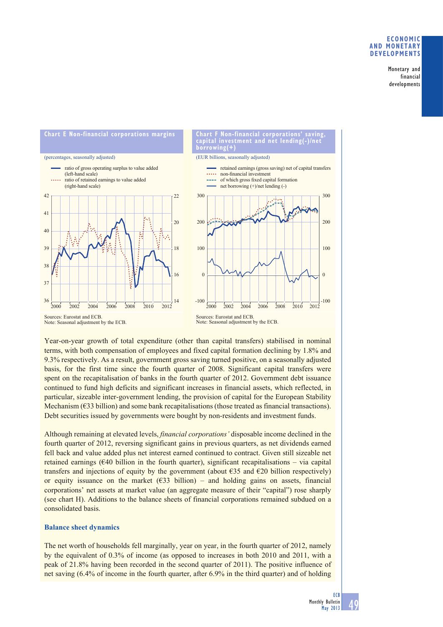## **ECONOMIC AND MONETARY DEVELOPMENTS**

Monetary and financial developments



Year-on-year growth of total expenditure (other than capital transfers) stabilised in nominal terms, with both compensation of employees and fixed capital formation declining by 1.8% and 9.3% respectively. As a result, government gross saving turned positive, on a seasonally adjusted basis, for the first time since the fourth quarter of 2008. Significant capital transfers were spent on the recapitalisation of banks in the fourth quarter of 2012. Government debt issuance continued to fund high deficits and significant increases in financial assets, which reflected, in particular, sizeable inter-government lending, the provision of capital for the European Stability Mechanism  $(633$  billion) and some bank recapitalisations (those treated as financial transactions). Debt securities issued by governments were bought by non-residents and investment funds.

Although remaining at elevated levels, *financial corporations'* disposable income declined in the fourth quarter of 2012, reversing significant gains in previous quarters, as net dividends earned fell back and value added plus net interest earned continued to contract. Given still sizeable net retained earnings  $(640 \text{ billion in the fourth quarter})$ , significant recapitalisations – via capital transfers and injections of equity by the government (about  $\epsilon$ 35 and  $\epsilon$ 20 billion respectively) or equity issuance on the market  $(633 \text{ billion})$  – and holding gains on assets, financial corporations' net assets at market value (an aggregate measure of their "capital") rose sharply (see chart H). Additions to the balance sheets of financial corporations remained subdued on a consolidated basis.

## **Balance sheet dynamics**

The net worth of households fell marginally, year on year, in the fourth quarter of 2012, namely by the equivalent of 0.3% of income (as opposed to increases in both 2010 and 2011, with a peak of 21.8% having been recorded in the second quarter of 2011). The positive influence of net saving (6.4% of income in the fourth quarter, after 6.9% in the third quarter) and of holding